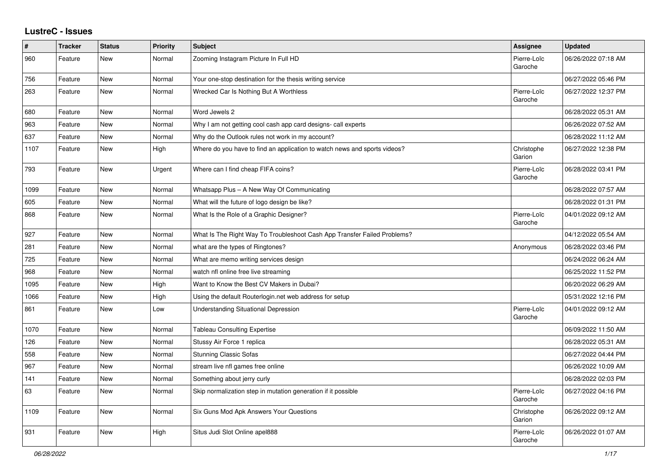## **LustreC - Issues**

| #    | <b>Tracker</b> | <b>Status</b> | Priority | <b>Subject</b>                                                            | Assignee               | <b>Updated</b>      |
|------|----------------|---------------|----------|---------------------------------------------------------------------------|------------------------|---------------------|
| 960  | Feature        | <b>New</b>    | Normal   | Zooming Instagram Picture In Full HD                                      | Pierre-Loïc<br>Garoche | 06/26/2022 07:18 AM |
| 756  | Feature        | <b>New</b>    | Normal   | Your one-stop destination for the thesis writing service                  |                        | 06/27/2022 05:46 PM |
| 263  | Feature        | New           | Normal   | Wrecked Car Is Nothing But A Worthless                                    | Pierre-Loïc<br>Garoche | 06/27/2022 12:37 PM |
| 680  | Feature        | <b>New</b>    | Normal   | Word Jewels 2                                                             |                        | 06/28/2022 05:31 AM |
| 963  | Feature        | New           | Normal   | Why I am not getting cool cash app card designs- call experts             |                        | 06/26/2022 07:52 AM |
| 637  | Feature        | <b>New</b>    | Normal   | Why do the Outlook rules not work in my account?                          |                        | 06/28/2022 11:12 AM |
| 1107 | Feature        | <b>New</b>    | High     | Where do you have to find an application to watch news and sports videos? | Christophe<br>Garion   | 06/27/2022 12:38 PM |
| 793  | Feature        | <b>New</b>    | Urgent   | Where can I find cheap FIFA coins?                                        | Pierre-Loïc<br>Garoche | 06/28/2022 03:41 PM |
| 1099 | Feature        | <b>New</b>    | Normal   | Whatsapp Plus - A New Way Of Communicating                                |                        | 06/28/2022 07:57 AM |
| 605  | Feature        | New           | Normal   | What will the future of logo design be like?                              |                        | 06/28/2022 01:31 PM |
| 868  | Feature        | New           | Normal   | What Is the Role of a Graphic Designer?                                   | Pierre-Loïc<br>Garoche | 04/01/2022 09:12 AM |
| 927  | Feature        | New           | Normal   | What Is The Right Way To Troubleshoot Cash App Transfer Failed Problems?  |                        | 04/12/2022 05:54 AM |
| 281  | Feature        | New           | Normal   | what are the types of Ringtones?                                          | Anonymous              | 06/28/2022 03:46 PM |
| 725  | Feature        | <b>New</b>    | Normal   | What are memo writing services design                                     |                        | 06/24/2022 06:24 AM |
| 968  | Feature        | New           | Normal   | watch nfl online free live streaming                                      |                        | 06/25/2022 11:52 PM |
| 1095 | Feature        | New           | High     | Want to Know the Best CV Makers in Dubai?                                 |                        | 06/20/2022 06:29 AM |
| 1066 | Feature        | New           | High     | Using the default Routerlogin.net web address for setup                   |                        | 05/31/2022 12:16 PM |
| 861  | Feature        | <b>New</b>    | Low      | <b>Understanding Situational Depression</b>                               | Pierre-Loïc<br>Garoche | 04/01/2022 09:12 AM |
| 1070 | Feature        | <b>New</b>    | Normal   | <b>Tableau Consulting Expertise</b>                                       |                        | 06/09/2022 11:50 AM |
| 126  | Feature        | New           | Normal   | Stussy Air Force 1 replica                                                |                        | 06/28/2022 05:31 AM |
| 558  | Feature        | New           | Normal   | <b>Stunning Classic Sofas</b>                                             |                        | 06/27/2022 04:44 PM |
| 967  | Feature        | New           | Normal   | stream live nfl games free online                                         |                        | 06/26/2022 10:09 AM |
| 141  | Feature        | <b>New</b>    | Normal   | Something about jerry curly                                               |                        | 06/28/2022 02:03 PM |
| 63   | Feature        | New           | Normal   | Skip normalization step in mutation generation if it possible             | Pierre-Loïc<br>Garoche | 06/27/2022 04:16 PM |
| 1109 | Feature        | New           | Normal   | Six Guns Mod Apk Answers Your Questions                                   | Christophe<br>Garion   | 06/26/2022 09:12 AM |
| 931  | Feature        | New           | High     | Situs Judi Slot Online apel888                                            | Pierre-Loïc<br>Garoche | 06/26/2022 01:07 AM |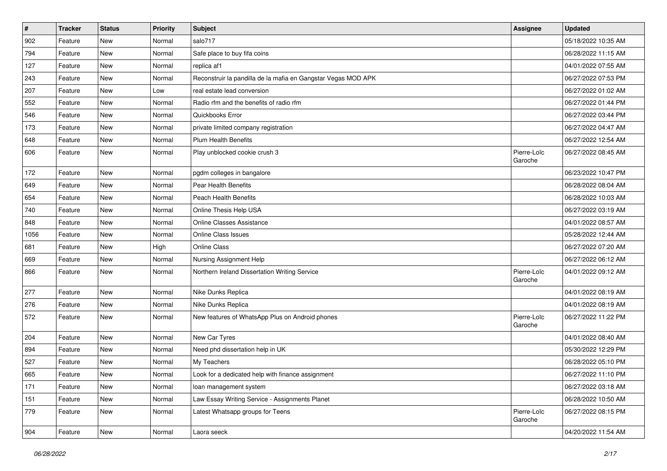| $\vert$ # | <b>Tracker</b> | <b>Status</b> | <b>Priority</b> | <b>Subject</b>                                                | Assignee               | <b>Updated</b>      |
|-----------|----------------|---------------|-----------------|---------------------------------------------------------------|------------------------|---------------------|
| 902       | Feature        | <b>New</b>    | Normal          | salo717                                                       |                        | 05/18/2022 10:35 AM |
| 794       | Feature        | <b>New</b>    | Normal          | Safe place to buy fifa coins                                  |                        | 06/28/2022 11:15 AM |
| 127       | Feature        | New           | Normal          | replica af1                                                   |                        | 04/01/2022 07:55 AM |
| 243       | Feature        | <b>New</b>    | Normal          | Reconstruir la pandilla de la mafia en Gangstar Vegas MOD APK |                        | 06/27/2022 07:53 PM |
| 207       | Feature        | New           | Low             | real estate lead conversion                                   |                        | 06/27/2022 01:02 AM |
| 552       | Feature        | <b>New</b>    | Normal          | Radio rfm and the benefits of radio rfm                       |                        | 06/27/2022 01:44 PM |
| 546       | Feature        | <b>New</b>    | Normal          | Quickbooks Error                                              |                        | 06/27/2022 03:44 PM |
| 173       | Feature        | New           | Normal          | private limited company registration                          |                        | 06/27/2022 04:47 AM |
| 648       | Feature        | <b>New</b>    | Normal          | <b>Plum Health Benefits</b>                                   |                        | 06/27/2022 12:54 AM |
| 606       | Feature        | <b>New</b>    | Normal          | Play unblocked cookie crush 3                                 | Pierre-Loïc<br>Garoche | 06/27/2022 08:45 AM |
| 172       | Feature        | <b>New</b>    | Normal          | pgdm colleges in bangalore                                    |                        | 06/23/2022 10:47 PM |
| 649       | Feature        | <b>New</b>    | Normal          | Pear Health Benefits                                          |                        | 06/28/2022 08:04 AM |
| 654       | Feature        | <b>New</b>    | Normal          | Peach Health Benefits                                         |                        | 06/28/2022 10:03 AM |
| 740       | Feature        | <b>New</b>    | Normal          | Online Thesis Help USA                                        |                        | 06/27/2022 03:19 AM |
| 848       | Feature        | New           | Normal          | <b>Online Classes Assistance</b>                              |                        | 04/01/2022 08:57 AM |
| 1056      | Feature        | <b>New</b>    | Normal          | <b>Online Class Issues</b>                                    |                        | 05/28/2022 12:44 AM |
| 681       | Feature        | New           | High            | <b>Online Class</b>                                           |                        | 06/27/2022 07:20 AM |
| 669       | Feature        | New           | Normal          | Nursing Assignment Help                                       |                        | 06/27/2022 06:12 AM |
| 866       | Feature        | <b>New</b>    | Normal          | Northern Ireland Dissertation Writing Service                 | Pierre-Loïc<br>Garoche | 04/01/2022 09:12 AM |
| 277       | Feature        | <b>New</b>    | Normal          | Nike Dunks Replica                                            |                        | 04/01/2022 08:19 AM |
| 276       | Feature        | <b>New</b>    | Normal          | Nike Dunks Replica                                            |                        | 04/01/2022 08:19 AM |
| 572       | Feature        | New           | Normal          | New features of WhatsApp Plus on Android phones               | Pierre-Loïc<br>Garoche | 06/27/2022 11:22 PM |
| 204       | Feature        | New           | Normal          | New Car Tyres                                                 |                        | 04/01/2022 08:40 AM |
| 894       | Feature        | New           | Normal          | Need phd dissertation help in UK                              |                        | 05/30/2022 12:29 PM |
| 527       | Feature        | <b>New</b>    | Normal          | My Teachers                                                   |                        | 06/28/2022 05:10 PM |
| 665       | Feature        | New           | Normal          | Look for a dedicated help with finance assignment             |                        | 06/27/2022 11:10 PM |
| 171       | Feature        | New           | Normal          | loan management system                                        |                        | 06/27/2022 03:18 AM |
| 151       | Feature        | New           | Normal          | Law Essay Writing Service - Assignments Planet                |                        | 06/28/2022 10:50 AM |
| 779       | Feature        | New           | Normal          | Latest Whatsapp groups for Teens                              | Pierre-Loïc<br>Garoche | 06/27/2022 08:15 PM |
| 904       | Feature        | New           | Normal          | Laora seeck                                                   |                        | 04/20/2022 11:54 AM |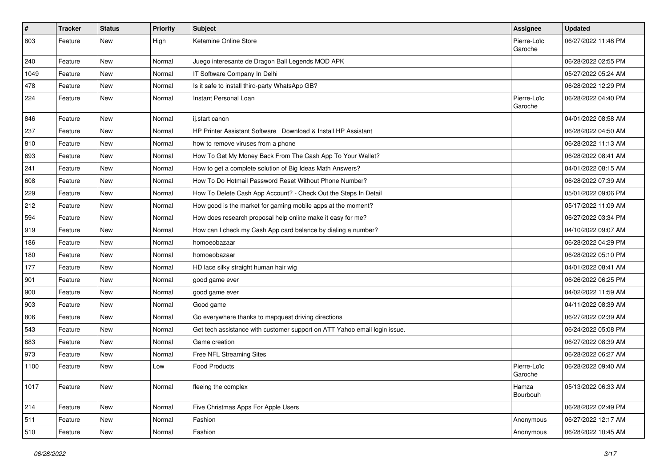| $\#$ | <b>Tracker</b> | <b>Status</b> | <b>Priority</b> | Subject                                                                   | Assignee               | <b>Updated</b>      |
|------|----------------|---------------|-----------------|---------------------------------------------------------------------------|------------------------|---------------------|
| 803  | Feature        | New           | High            | Ketamine Online Store                                                     | Pierre-Loïc<br>Garoche | 06/27/2022 11:48 PM |
| 240  | Feature        | New           | Normal          | Juego interesante de Dragon Ball Legends MOD APK                          |                        | 06/28/2022 02:55 PM |
| 1049 | Feature        | <b>New</b>    | Normal          | IT Software Company In Delhi                                              |                        | 05/27/2022 05:24 AM |
| 478  | Feature        | <b>New</b>    | Normal          | Is it safe to install third-party WhatsApp GB?                            |                        | 06/28/2022 12:29 PM |
| 224  | Feature        | New           | Normal          | Instant Personal Loan                                                     | Pierre-Loïc<br>Garoche | 06/28/2022 04:40 PM |
| 846  | Feature        | <b>New</b>    | Normal          | ij.start canon                                                            |                        | 04/01/2022 08:58 AM |
| 237  | Feature        | <b>New</b>    | Normal          | HP Printer Assistant Software   Download & Install HP Assistant           |                        | 06/28/2022 04:50 AM |
| 810  | Feature        | <b>New</b>    | Normal          | how to remove viruses from a phone                                        |                        | 06/28/2022 11:13 AM |
| 693  | Feature        | New           | Normal          | How To Get My Money Back From The Cash App To Your Wallet?                |                        | 06/28/2022 08:41 AM |
| 241  | Feature        | <b>New</b>    | Normal          | How to get a complete solution of Big Ideas Math Answers?                 |                        | 04/01/2022 08:15 AM |
| 608  | Feature        | <b>New</b>    | Normal          | How To Do Hotmail Password Reset Without Phone Number?                    |                        | 06/28/2022 07:39 AM |
| 229  | Feature        | <b>New</b>    | Normal          | How To Delete Cash App Account? - Check Out the Steps In Detail           |                        | 05/01/2022 09:06 PM |
| 212  | Feature        | <b>New</b>    | Normal          | How good is the market for gaming mobile apps at the moment?              |                        | 05/17/2022 11:09 AM |
| 594  | Feature        | New           | Normal          | How does research proposal help online make it easy for me?               |                        | 06/27/2022 03:34 PM |
| 919  | Feature        | <b>New</b>    | Normal          | How can I check my Cash App card balance by dialing a number?             |                        | 04/10/2022 09:07 AM |
| 186  | Feature        | <b>New</b>    | Normal          | homoeobazaar                                                              |                        | 06/28/2022 04:29 PM |
| 180  | Feature        | New           | Normal          | homoeobazaar                                                              |                        | 06/28/2022 05:10 PM |
| 177  | Feature        | New           | Normal          | HD lace silky straight human hair wig                                     |                        | 04/01/2022 08:41 AM |
| 901  | Feature        | New           | Normal          | good game ever                                                            |                        | 06/26/2022 06:25 PM |
| 900  | Feature        | <b>New</b>    | Normal          | good game ever                                                            |                        | 04/02/2022 11:59 AM |
| 903  | Feature        | <b>New</b>    | Normal          | Good game                                                                 |                        | 04/11/2022 08:39 AM |
| 806  | Feature        | New           | Normal          | Go everywhere thanks to mapquest driving directions                       |                        | 06/27/2022 02:39 AM |
| 543  | Feature        | <b>New</b>    | Normal          | Get tech assistance with customer support on ATT Yahoo email login issue. |                        | 06/24/2022 05:08 PM |
| 683  | Feature        | <b>New</b>    | Normal          | Game creation                                                             |                        | 06/27/2022 08:39 AM |
| 973  | Feature        | <b>New</b>    | Normal          | Free NFL Streaming Sites                                                  |                        | 06/28/2022 06:27 AM |
| 1100 | Feature        | <b>New</b>    | Low             | <b>Food Products</b>                                                      | Pierre-Loïc<br>Garoche | 06/28/2022 09:40 AM |
| 1017 | Feature        | New           | Normal          | fleeing the complex                                                       | Hamza<br>Bourbouh      | 05/13/2022 06:33 AM |
| 214  | Feature        | New           | Normal          | Five Christmas Apps For Apple Users                                       |                        | 06/28/2022 02:49 PM |
| 511  | Feature        | New           | Normal          | Fashion                                                                   | Anonymous              | 06/27/2022 12:17 AM |
| 510  | Feature        | New           | Normal          | Fashion                                                                   | Anonymous              | 06/28/2022 10:45 AM |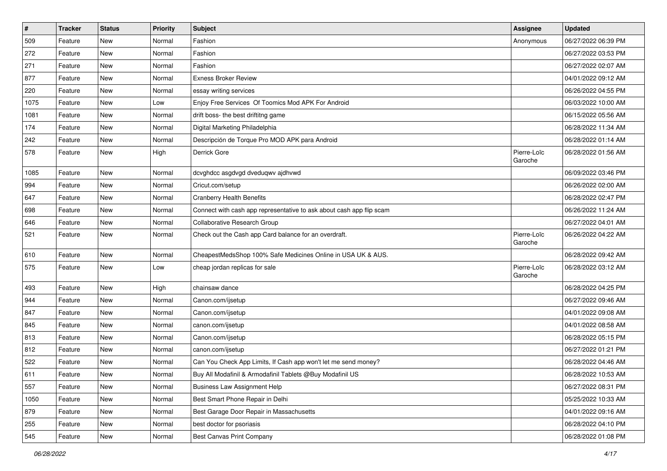| $\sharp$ | <b>Tracker</b> | <b>Status</b> | <b>Priority</b> | <b>Subject</b>                                                       | <b>Assignee</b>        | <b>Updated</b>      |
|----------|----------------|---------------|-----------------|----------------------------------------------------------------------|------------------------|---------------------|
| 509      | Feature        | New           | Normal          | Fashion                                                              | Anonymous              | 06/27/2022 06:39 PM |
| 272      | Feature        | <b>New</b>    | Normal          | Fashion                                                              |                        | 06/27/2022 03:53 PM |
| 271      | Feature        | New           | Normal          | Fashion                                                              |                        | 06/27/2022 02:07 AM |
| 877      | Feature        | <b>New</b>    | Normal          | <b>Exness Broker Review</b>                                          |                        | 04/01/2022 09:12 AM |
| 220      | Feature        | <b>New</b>    | Normal          | essay writing services                                               |                        | 06/26/2022 04:55 PM |
| 1075     | Feature        | <b>New</b>    | Low             | Enjoy Free Services Of Toomics Mod APK For Android                   |                        | 06/03/2022 10:00 AM |
| 1081     | Feature        | New           | Normal          | drift boss- the best driftitng game                                  |                        | 06/15/2022 05:56 AM |
| 174      | Feature        | <b>New</b>    | Normal          | Digital Marketing Philadelphia                                       |                        | 06/28/2022 11:34 AM |
| 242      | Feature        | New           | Normal          | Descripción de Torque Pro MOD APK para Android                       |                        | 06/28/2022 01:14 AM |
| 578      | Feature        | <b>New</b>    | High            | Derrick Gore                                                         | Pierre-Loïc<br>Garoche | 06/28/2022 01:56 AM |
| 1085     | Feature        | <b>New</b>    | Normal          | dcvghdcc asgdvgd dveduqwv ajdhvwd                                    |                        | 06/09/2022 03:46 PM |
| 994      | Feature        | <b>New</b>    | Normal          | Cricut.com/setup                                                     |                        | 06/26/2022 02:00 AM |
| 647      | Feature        | New           | Normal          | <b>Cranberry Health Benefits</b>                                     |                        | 06/28/2022 02:47 PM |
| 698      | Feature        | New           | Normal          | Connect with cash app representative to ask about cash app flip scam |                        | 06/26/2022 11:24 AM |
| 646      | Feature        | New           | Normal          | Collaborative Research Group                                         |                        | 06/27/2022 04:01 AM |
| 521      | Feature        | New           | Normal          | Check out the Cash app Card balance for an overdraft.                | Pierre-Loïc<br>Garoche | 06/26/2022 04:22 AM |
| 610      | Feature        | <b>New</b>    | Normal          | CheapestMedsShop 100% Safe Medicines Online in USA UK & AUS.         |                        | 06/28/2022 09:42 AM |
| 575      | Feature        | New           | Low             | cheap jordan replicas for sale                                       | Pierre-Loïc<br>Garoche | 06/28/2022 03:12 AM |
| 493      | Feature        | <b>New</b>    | High            | chainsaw dance                                                       |                        | 06/28/2022 04:25 PM |
| 944      | Feature        | <b>New</b>    | Normal          | Canon.com/ijsetup                                                    |                        | 06/27/2022 09:46 AM |
| 847      | Feature        | New           | Normal          | Canon.com/ijsetup                                                    |                        | 04/01/2022 09:08 AM |
| 845      | Feature        | <b>New</b>    | Normal          | canon.com/ijsetup                                                    |                        | 04/01/2022 08:58 AM |
| 813      | Feature        | <b>New</b>    | Normal          | Canon.com/ijsetup                                                    |                        | 06/28/2022 05:15 PM |
| 812      | Feature        | <b>New</b>    | Normal          | canon.com/ijsetup                                                    |                        | 06/27/2022 01:21 PM |
| 522      | Feature        | New           | Normal          | Can You Check App Limits, If Cash app won't let me send money?       |                        | 06/28/2022 04:46 AM |
| 611      | Feature        | New           | Normal          | Buy All Modafinil & Armodafinil Tablets @Buy Modafinil US            |                        | 06/28/2022 10:53 AM |
| 557      | Feature        | New           | Normal          | <b>Business Law Assignment Help</b>                                  |                        | 06/27/2022 08:31 PM |
| 1050     | Feature        | New           | Normal          | Best Smart Phone Repair in Delhi                                     |                        | 05/25/2022 10:33 AM |
| 879      | Feature        | New           | Normal          | Best Garage Door Repair in Massachusetts                             |                        | 04/01/2022 09:16 AM |
| 255      | Feature        | New           | Normal          | best doctor for psoriasis                                            |                        | 06/28/2022 04:10 PM |
| 545      | Feature        | New           | Normal          | <b>Best Canvas Print Company</b>                                     |                        | 06/28/2022 01:08 PM |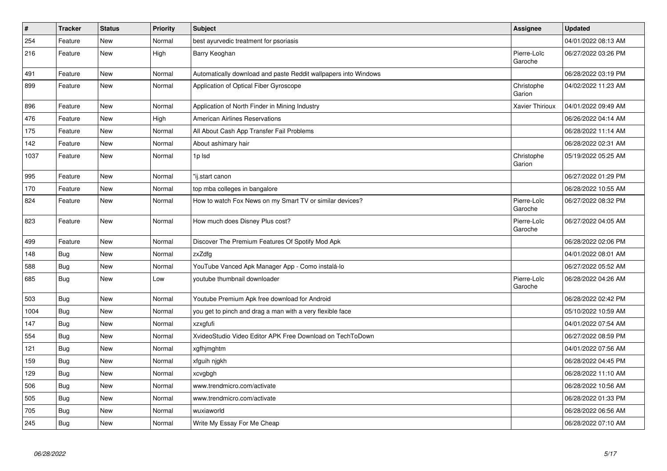| $\vert$ # | <b>Tracker</b> | <b>Status</b> | <b>Priority</b> | <b>Subject</b>                                                  | <b>Assignee</b>        | <b>Updated</b>      |
|-----------|----------------|---------------|-----------------|-----------------------------------------------------------------|------------------------|---------------------|
| 254       | Feature        | New           | Normal          | best ayurvedic treatment for psoriasis                          |                        | 04/01/2022 08:13 AM |
| 216       | Feature        | <b>New</b>    | High            | Barry Keoghan                                                   | Pierre-Loïc<br>Garoche | 06/27/2022 03:26 PM |
| 491       | Feature        | <b>New</b>    | Normal          | Automatically download and paste Reddit wallpapers into Windows |                        | 06/28/2022 03:19 PM |
| 899       | Feature        | <b>New</b>    | Normal          | Application of Optical Fiber Gyroscope                          | Christophe<br>Garion   | 04/02/2022 11:23 AM |
| 896       | Feature        | <b>New</b>    | Normal          | Application of North Finder in Mining Industry                  | Xavier Thirioux        | 04/01/2022 09:49 AM |
| 476       | Feature        | <b>New</b>    | High            | American Airlines Reservations                                  |                        | 06/26/2022 04:14 AM |
| 175       | Feature        | <b>New</b>    | Normal          | All About Cash App Transfer Fail Problems                       |                        | 06/28/2022 11:14 AM |
| 142       | Feature        | <b>New</b>    | Normal          | About ashimary hair                                             |                        | 06/28/2022 02:31 AM |
| 1037      | Feature        | <b>New</b>    | Normal          | 1p lsd                                                          | Christophe<br>Garion   | 05/19/2022 05:25 AM |
| 995       | Feature        | New           | Normal          | "ij.start canon                                                 |                        | 06/27/2022 01:29 PM |
| 170       | Feature        | New           | Normal          | top mba colleges in bangalore                                   |                        | 06/28/2022 10:55 AM |
| 824       | Feature        | <b>New</b>    | Normal          | How to watch Fox News on my Smart TV or similar devices?        | Pierre-Loïc<br>Garoche | 06/27/2022 08:32 PM |
| 823       | Feature        | New           | Normal          | How much does Disney Plus cost?                                 | Pierre-Loïc<br>Garoche | 06/27/2022 04:05 AM |
| 499       | Feature        | <b>New</b>    | Normal          | Discover The Premium Features Of Spotify Mod Apk                |                        | 06/28/2022 02:06 PM |
| 148       | Bug            | <b>New</b>    | Normal          | zxZdfg                                                          |                        | 04/01/2022 08:01 AM |
| 588       | Bug            | <b>New</b>    | Normal          | YouTube Vanced Apk Manager App - Como instalá-lo                |                        | 06/27/2022 05:52 AM |
| 685       | <b>Bug</b>     | <b>New</b>    | Low             | youtube thumbnail downloader                                    | Pierre-Loïc<br>Garoche | 06/28/2022 04:26 AM |
| 503       | Bug            | <b>New</b>    | Normal          | Youtube Premium Apk free download for Android                   |                        | 06/28/2022 02:42 PM |
| 1004      | <b>Bug</b>     | <b>New</b>    | Normal          | you get to pinch and drag a man with a very flexible face       |                        | 05/10/2022 10:59 AM |
| 147       | <b>Bug</b>     | <b>New</b>    | Normal          | xzxafufi                                                        |                        | 04/01/2022 07:54 AM |
| 554       | Bug            | <b>New</b>    | Normal          | XvideoStudio Video Editor APK Free Download on TechToDown       |                        | 06/27/2022 08:59 PM |
| 121       | <b>Bug</b>     | <b>New</b>    | Normal          | xgfhjmghtm                                                      |                        | 04/01/2022 07:56 AM |
| 159       | <b>Bug</b>     | <b>New</b>    | Normal          | xfguih njgkh                                                    |                        | 06/28/2022 04:45 PM |
| 129       | <b>Bug</b>     | <b>New</b>    | Normal          | xcvgbgh                                                         |                        | 06/28/2022 11:10 AM |
| 506       | Bug            | <b>New</b>    | Normal          | www.trendmicro.com/activate                                     |                        | 06/28/2022 10:56 AM |
| 505       | Bug            | <b>New</b>    | Normal          | www.trendmicro.com/activate                                     |                        | 06/28/2022 01:33 PM |
| 705       | Bug            | <b>New</b>    | Normal          | wuxiaworld                                                      |                        | 06/28/2022 06:56 AM |
| 245       | <b>Bug</b>     | <b>New</b>    | Normal          | Write My Essay For Me Cheap                                     |                        | 06/28/2022 07:10 AM |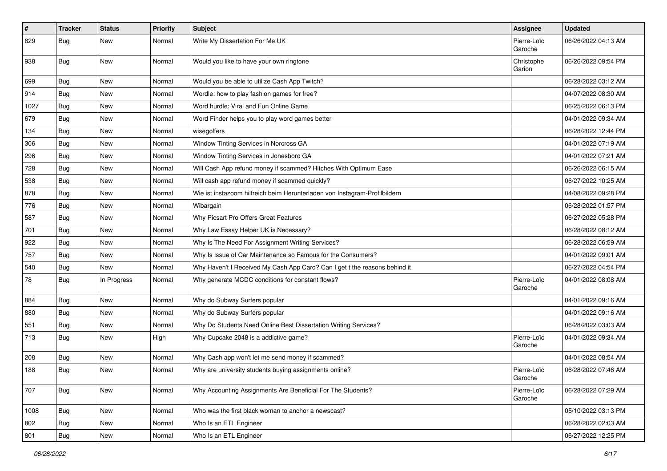| $\vert$ # | <b>Tracker</b> | <b>Status</b> | <b>Priority</b> | <b>Subject</b>                                                             | <b>Assignee</b>        | <b>Updated</b>      |
|-----------|----------------|---------------|-----------------|----------------------------------------------------------------------------|------------------------|---------------------|
| 829       | Bug            | New           | Normal          | Write My Dissertation For Me UK                                            | Pierre-Loïc<br>Garoche | 06/26/2022 04:13 AM |
| 938       | Bug            | <b>New</b>    | Normal          | Would you like to have your own ringtone                                   | Christophe<br>Garion   | 06/26/2022 09:54 PM |
| 699       | Bug            | <b>New</b>    | Normal          | Would you be able to utilize Cash App Twitch?                              |                        | 06/28/2022 03:12 AM |
| 914       | Bug            | <b>New</b>    | Normal          | Wordle: how to play fashion games for free?                                |                        | 04/07/2022 08:30 AM |
| 1027      | Bug            | New           | Normal          | Word hurdle: Viral and Fun Online Game                                     |                        | 06/25/2022 06:13 PM |
| 679       | <b>Bug</b>     | <b>New</b>    | Normal          | Word Finder helps you to play word games better                            |                        | 04/01/2022 09:34 AM |
| 134       | Bug            | <b>New</b>    | Normal          | wisegolfers                                                                |                        | 06/28/2022 12:44 PM |
| 306       | Bug            | <b>New</b>    | Normal          | Window Tinting Services in Norcross GA                                     |                        | 04/01/2022 07:19 AM |
| 296       | Bug            | <b>New</b>    | Normal          | Window Tinting Services in Jonesboro GA                                    |                        | 04/01/2022 07:21 AM |
| 728       | Bug            | <b>New</b>    | Normal          | Will Cash App refund money if scammed? Hitches With Optimum Ease           |                        | 06/26/2022 06:15 AM |
| 538       | Bug            | <b>New</b>    | Normal          | Will cash app refund money if scammed quickly?                             |                        | 06/27/2022 10:25 AM |
| 878       | Bug            | <b>New</b>    | Normal          | Wie ist instazoom hilfreich beim Herunterladen von Instagram-Profilbildern |                        | 04/08/2022 09:28 PM |
| 776       | Bug            | <b>New</b>    | Normal          | Wibargain                                                                  |                        | 06/28/2022 01:57 PM |
| 587       | Bug            | <b>New</b>    | Normal          | Why Picsart Pro Offers Great Features                                      |                        | 06/27/2022 05:28 PM |
| 701       | <b>Bug</b>     | <b>New</b>    | Normal          | Why Law Essay Helper UK is Necessary?                                      |                        | 06/28/2022 08:12 AM |
| 922       | Bug            | <b>New</b>    | Normal          | Why Is The Need For Assignment Writing Services?                           |                        | 06/28/2022 06:59 AM |
| 757       | Bug            | <b>New</b>    | Normal          | Why Is Issue of Car Maintenance so Famous for the Consumers?               |                        | 04/01/2022 09:01 AM |
| 540       | Bug            | <b>New</b>    | Normal          | Why Haven't I Received My Cash App Card? Can I get t the reasons behind it |                        | 06/27/2022 04:54 PM |
| 78        | Bug            | In Progress   | Normal          | Why generate MCDC conditions for constant flows?                           | Pierre-Loïc<br>Garoche | 04/01/2022 08:08 AM |
| 884       | Bug            | New           | Normal          | Why do Subway Surfers popular                                              |                        | 04/01/2022 09:16 AM |
| 880       | Bug            | New           | Normal          | Why do Subway Surfers popular                                              |                        | 04/01/2022 09:16 AM |
| 551       | Bug            | <b>New</b>    | Normal          | Why Do Students Need Online Best Dissertation Writing Services?            |                        | 06/28/2022 03:03 AM |
| 713       | Bug            | <b>New</b>    | High            | Why Cupcake 2048 is a addictive game?                                      | Pierre-Loïc<br>Garoche | 04/01/2022 09:34 AM |
| 208       | <b>Bug</b>     | <b>New</b>    | Normal          | Why Cash app won't let me send money if scammed?                           |                        | 04/01/2022 08:54 AM |
| 188       | Bug            | <b>New</b>    | Normal          | Why are university students buying assignments online?                     | Pierre-Loïc<br>Garoche | 06/28/2022 07:46 AM |
| 707       | <b>Bug</b>     | New           | Normal          | Why Accounting Assignments Are Beneficial For The Students?                | Pierre-Loïc<br>Garoche | 06/28/2022 07:29 AM |
| 1008      | Bug            | <b>New</b>    | Normal          | Who was the first black woman to anchor a newscast?                        |                        | 05/10/2022 03:13 PM |
| 802       | Bug            | New           | Normal          | Who Is an ETL Engineer                                                     |                        | 06/28/2022 02:03 AM |
| 801       | Bug            | New           | Normal          | Who Is an ETL Engineer                                                     |                        | 06/27/2022 12:25 PM |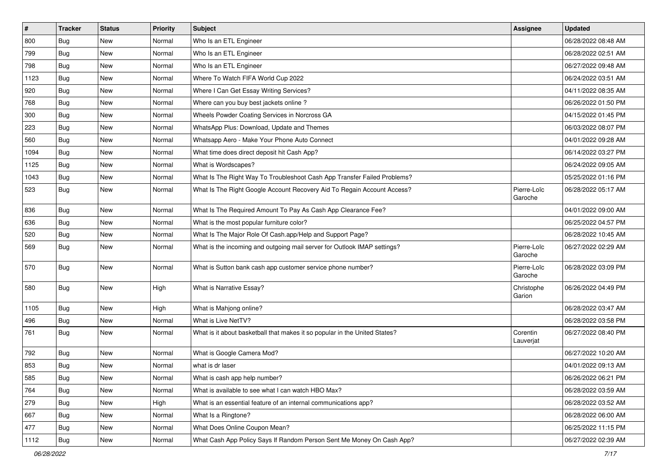| $\pmb{\sharp}$ | <b>Tracker</b> | <b>Status</b> | <b>Priority</b> | <b>Subject</b>                                                             | Assignee               | <b>Updated</b>      |
|----------------|----------------|---------------|-----------------|----------------------------------------------------------------------------|------------------------|---------------------|
| 800            | Bug            | New           | Normal          | Who Is an ETL Engineer                                                     |                        | 06/28/2022 08:48 AM |
| 799            | Bug            | <b>New</b>    | Normal          | Who Is an ETL Engineer                                                     |                        | 06/28/2022 02:51 AM |
| 798            | Bug            | New           | Normal          | Who Is an ETL Engineer                                                     |                        | 06/27/2022 09:48 AM |
| 1123           | Bug            | <b>New</b>    | Normal          | Where To Watch FIFA World Cup 2022                                         |                        | 06/24/2022 03:51 AM |
| 920            | Bug            | <b>New</b>    | Normal          | Where I Can Get Essay Writing Services?                                    |                        | 04/11/2022 08:35 AM |
| 768            | Bug            | <b>New</b>    | Normal          | Where can you buy best jackets online?                                     |                        | 06/26/2022 01:50 PM |
| 300            | Bug            | <b>New</b>    | Normal          | Wheels Powder Coating Services in Norcross GA                              |                        | 04/15/2022 01:45 PM |
| 223            | Bug            | New           | Normal          | WhatsApp Plus: Download, Update and Themes                                 |                        | 06/03/2022 08:07 PM |
| 560            | Bug            | <b>New</b>    | Normal          | Whatsapp Aero - Make Your Phone Auto Connect                               |                        | 04/01/2022 09:28 AM |
| 1094           | Bug            | <b>New</b>    | Normal          | What time does direct deposit hit Cash App?                                |                        | 06/14/2022 03:27 PM |
| 1125           | Bug            | New           | Normal          | What is Wordscapes?                                                        |                        | 06/24/2022 09:05 AM |
| 1043           | Bug            | <b>New</b>    | Normal          | What Is The Right Way To Troubleshoot Cash App Transfer Failed Problems?   |                        | 05/25/2022 01:16 PM |
| 523            | Bug            | <b>New</b>    | Normal          | What Is The Right Google Account Recovery Aid To Regain Account Access?    | Pierre-Loïc<br>Garoche | 06/28/2022 05:17 AM |
| 836            | Bug            | <b>New</b>    | Normal          | What Is The Required Amount To Pay As Cash App Clearance Fee?              |                        | 04/01/2022 09:00 AM |
| 636            | Bug            | New           | Normal          | What is the most popular furniture color?                                  |                        | 06/25/2022 04:57 PM |
| 520            | Bug            | <b>New</b>    | Normal          | What Is The Major Role Of Cash.app/Help and Support Page?                  |                        | 06/28/2022 10:45 AM |
| 569            | Bug            | <b>New</b>    | Normal          | What is the incoming and outgoing mail server for Outlook IMAP settings?   | Pierre-Loïc<br>Garoche | 06/27/2022 02:29 AM |
| 570            | Bug            | New           | Normal          | What is Sutton bank cash app customer service phone number?                | Pierre-Loïc<br>Garoche | 06/28/2022 03:09 PM |
| 580            | Bug            | <b>New</b>    | High            | What is Narrative Essay?                                                   | Christophe<br>Garion   | 06/26/2022 04:49 PM |
| 1105           | Bug            | <b>New</b>    | High            | What is Mahjong online?                                                    |                        | 06/28/2022 03:47 AM |
| 496            | Bug            | New           | Normal          | What is Live NetTV?                                                        |                        | 06/28/2022 03:58 PM |
| 761            | Bug            | New           | Normal          | What is it about basketball that makes it so popular in the United States? | Corentin<br>Lauverjat  | 06/27/2022 08:40 PM |
| 792            | Bug            | <b>New</b>    | Normal          | What is Google Camera Mod?                                                 |                        | 06/27/2022 10:20 AM |
| 853            | Bug            | <b>New</b>    | Normal          | what is dr laser                                                           |                        | 04/01/2022 09:13 AM |
| 585            | Bug            | New           | Normal          | What is cash app help number?                                              |                        | 06/26/2022 06:21 PM |
| 764            | Bug            | <b>New</b>    | Normal          | What is available to see what I can watch HBO Max?                         |                        | 06/28/2022 03:59 AM |
| 279            | <b>Bug</b>     | New           | High            | What is an essential feature of an internal communications app?            |                        | 06/28/2022 03:52 AM |
| 667            | Bug            | New           | Normal          | What Is a Ringtone?                                                        |                        | 06/28/2022 06:00 AM |
| 477            | Bug            | New           | Normal          | What Does Online Coupon Mean?                                              |                        | 06/25/2022 11:15 PM |
| 1112           | <b>Bug</b>     | New           | Normal          | What Cash App Policy Says If Random Person Sent Me Money On Cash App?      |                        | 06/27/2022 02:39 AM |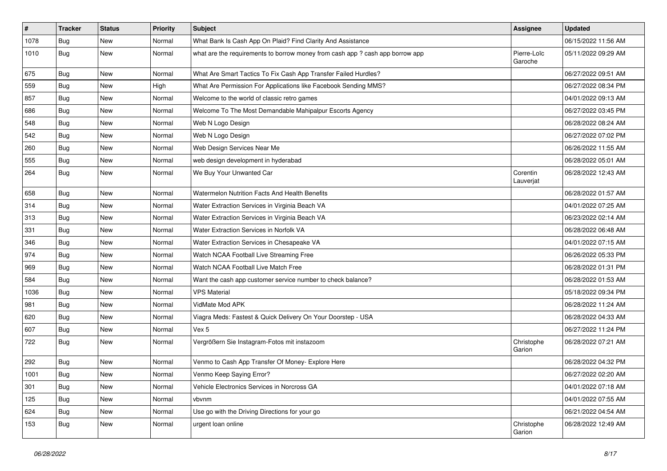| $\pmb{\#}$ | <b>Tracker</b> | <b>Status</b> | <b>Priority</b> | <b>Subject</b>                                                                | <b>Assignee</b>        | <b>Updated</b>      |
|------------|----------------|---------------|-----------------|-------------------------------------------------------------------------------|------------------------|---------------------|
| 1078       | Bug            | New           | Normal          | What Bank Is Cash App On Plaid? Find Clarity And Assistance                   |                        | 06/15/2022 11:56 AM |
| 1010       | Bug            | New           | Normal          | what are the requirements to borrow money from cash app ? cash app borrow app | Pierre-Loïc<br>Garoche | 05/11/2022 09:29 AM |
| 675        | Bug            | New           | Normal          | What Are Smart Tactics To Fix Cash App Transfer Failed Hurdles?               |                        | 06/27/2022 09:51 AM |
| 559        | Bug            | New           | High            | What Are Permission For Applications like Facebook Sending MMS?               |                        | 06/27/2022 08:34 PM |
| 857        | Bug            | New           | Normal          | Welcome to the world of classic retro games                                   |                        | 04/01/2022 09:13 AM |
| 686        | Bug            | New           | Normal          | Welcome To The Most Demandable Mahipalpur Escorts Agency                      |                        | 06/27/2022 03:45 PM |
| 548        | Bug            | <b>New</b>    | Normal          | Web N Logo Design                                                             |                        | 06/28/2022 08:24 AM |
| 542        | Bug            | New           | Normal          | Web N Logo Design                                                             |                        | 06/27/2022 07:02 PM |
| 260        | Bug            | <b>New</b>    | Normal          | Web Design Services Near Me                                                   |                        | 06/26/2022 11:55 AM |
| 555        | Bug            | New           | Normal          | web design development in hyderabad                                           |                        | 06/28/2022 05:01 AM |
| 264        | Bug            | New           | Normal          | We Buy Your Unwanted Car                                                      | Corentin<br>Lauverjat  | 06/28/2022 12:43 AM |
| 658        | Bug            | <b>New</b>    | Normal          | Watermelon Nutrition Facts And Health Benefits                                |                        | 06/28/2022 01:57 AM |
| 314        | Bug            | <b>New</b>    | Normal          | Water Extraction Services in Virginia Beach VA                                |                        | 04/01/2022 07:25 AM |
| 313        | Bug            | <b>New</b>    | Normal          | Water Extraction Services in Virginia Beach VA                                |                        | 06/23/2022 02:14 AM |
| 331        | Bug            | New           | Normal          | Water Extraction Services in Norfolk VA                                       |                        | 06/28/2022 06:48 AM |
| 346        | Bug            | New           | Normal          | Water Extraction Services in Chesapeake VA                                    |                        | 04/01/2022 07:15 AM |
| 974        | Bug            | New           | Normal          | Watch NCAA Football Live Streaming Free                                       |                        | 06/26/2022 05:33 PM |
| 969        | Bug            | New           | Normal          | Watch NCAA Football Live Match Free                                           |                        | 06/28/2022 01:31 PM |
| 584        | Bug            | New           | Normal          | Want the cash app customer service number to check balance?                   |                        | 06/28/2022 01:53 AM |
| 1036       | Bug            | New           | Normal          | <b>VPS Material</b>                                                           |                        | 05/18/2022 09:34 PM |
| 981        | Bug            | <b>New</b>    | Normal          | VidMate Mod APK                                                               |                        | 06/28/2022 11:24 AM |
| 620        | Bug            | New           | Normal          | Viagra Meds: Fastest & Quick Delivery On Your Doorstep - USA                  |                        | 06/28/2022 04:33 AM |
| 607        | Bug            | <b>New</b>    | Normal          | Vex 5                                                                         |                        | 06/27/2022 11:24 PM |
| 722        | Bug            | New           | Normal          | Vergrößern Sie Instagram-Fotos mit instazoom                                  | Christophe<br>Garion   | 06/28/2022 07:21 AM |
| 292        | Bug            | New           | Normal          | Venmo to Cash App Transfer Of Money- Explore Here                             |                        | 06/28/2022 04:32 PM |
| 1001       | <b>Bug</b>     | New           | Normal          | Venmo Keep Saying Error?                                                      |                        | 06/27/2022 02:20 AM |
| 301        | Bug            | New           | Normal          | Vehicle Electronics Services in Norcross GA                                   |                        | 04/01/2022 07:18 AM |
| 125        | Bug            | New           | Normal          | vbvnm                                                                         |                        | 04/01/2022 07:55 AM |
| 624        | Bug            | New           | Normal          | Use go with the Driving Directions for your go                                |                        | 06/21/2022 04:54 AM |
| 153        | <b>Bug</b>     | New           | Normal          | urgent loan online                                                            | Christophe<br>Garion   | 06/28/2022 12:49 AM |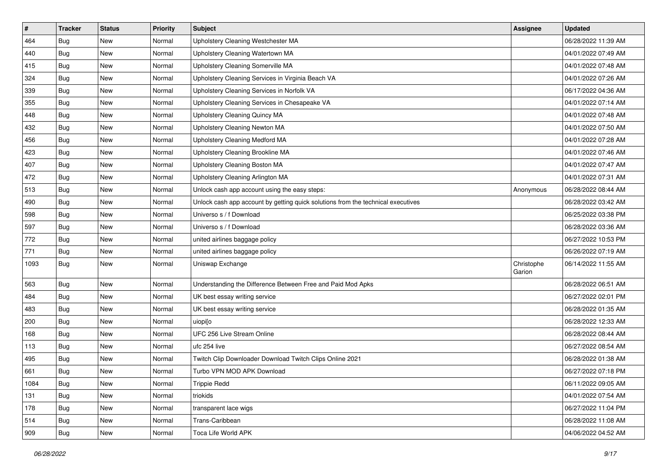| #    | <b>Tracker</b> | <b>Status</b> | <b>Priority</b> | <b>Subject</b>                                                                   | Assignee             | <b>Updated</b>      |
|------|----------------|---------------|-----------------|----------------------------------------------------------------------------------|----------------------|---------------------|
| 464  | Bug            | New           | Normal          | Upholstery Cleaning Westchester MA                                               |                      | 06/28/2022 11:39 AM |
| 440  | Bug            | <b>New</b>    | Normal          | Upholstery Cleaning Watertown MA                                                 |                      | 04/01/2022 07:49 AM |
| 415  | Bug            | New           | Normal          | Upholstery Cleaning Somerville MA                                                |                      | 04/01/2022 07:48 AM |
| 324  | Bug            | <b>New</b>    | Normal          | Upholstery Cleaning Services in Virginia Beach VA                                |                      | 04/01/2022 07:26 AM |
| 339  | <b>Bug</b>     | <b>New</b>    | Normal          | Upholstery Cleaning Services in Norfolk VA                                       |                      | 06/17/2022 04:36 AM |
| 355  | Bug            | New           | Normal          | Upholstery Cleaning Services in Chesapeake VA                                    |                      | 04/01/2022 07:14 AM |
| 448  | Bug            | New           | Normal          | Upholstery Cleaning Quincy MA                                                    |                      | 04/01/2022 07:48 AM |
| 432  | <b>Bug</b>     | New           | Normal          | Upholstery Cleaning Newton MA                                                    |                      | 04/01/2022 07:50 AM |
| 456  | Bug            | <b>New</b>    | Normal          | Upholstery Cleaning Medford MA                                                   |                      | 04/01/2022 07:28 AM |
| 423  | Bug            | <b>New</b>    | Normal          | Upholstery Cleaning Brookline MA                                                 |                      | 04/01/2022 07:46 AM |
| 407  | Bug            | New           | Normal          | Upholstery Cleaning Boston MA                                                    |                      | 04/01/2022 07:47 AM |
| 472  | <b>Bug</b>     | New           | Normal          | Upholstery Cleaning Arlington MA                                                 |                      | 04/01/2022 07:31 AM |
| 513  | Bug            | <b>New</b>    | Normal          | Unlock cash app account using the easy steps:                                    | Anonymous            | 06/28/2022 08:44 AM |
| 490  | Bug            | <b>New</b>    | Normal          | Unlock cash app account by getting quick solutions from the technical executives |                      | 06/28/2022 03:42 AM |
| 598  | <b>Bug</b>     | New           | Normal          | Universo s / f Download                                                          |                      | 06/25/2022 03:38 PM |
| 597  | Bug            | New           | Normal          | Universo s / f Download                                                          |                      | 06/28/2022 03:36 AM |
| 772  | Bug            | New           | Normal          | united airlines baggage policy                                                   |                      | 06/27/2022 10:53 PM |
| 771  | Bug            | <b>New</b>    | Normal          | united airlines baggage policy                                                   |                      | 06/26/2022 07:19 AM |
| 1093 | <b>Bug</b>     | New           | Normal          | Uniswap Exchange                                                                 | Christophe<br>Garion | 06/14/2022 11:55 AM |
| 563  | Bug            | <b>New</b>    | Normal          | Understanding the Difference Between Free and Paid Mod Apks                      |                      | 06/28/2022 06:51 AM |
| 484  | <b>Bug</b>     | <b>New</b>    | Normal          | UK best essay writing service                                                    |                      | 06/27/2022 02:01 PM |
| 483  | Bug            | <b>New</b>    | Normal          | UK best essay writing service                                                    |                      | 06/28/2022 01:35 AM |
| 200  | Bug            | New           | Normal          | uiopilo                                                                          |                      | 06/28/2022 12:33 AM |
| 168  | Bug            | New           | Normal          | UFC 256 Live Stream Online                                                       |                      | 06/28/2022 08:44 AM |
| 113  | Bug            | <b>New</b>    | Normal          | ufc 254 live                                                                     |                      | 06/27/2022 08:54 AM |
| 495  | Bug            | New           | Normal          | Twitch Clip Downloader Download Twitch Clips Online 2021                         |                      | 06/28/2022 01:38 AM |
| 661  | Bug            | New           | Normal          | Turbo VPN MOD APK Download                                                       |                      | 06/27/2022 07:18 PM |
| 1084 | <b>Bug</b>     | New           | Normal          | <b>Trippie Redd</b>                                                              |                      | 06/11/2022 09:05 AM |
| 131  | <b>Bug</b>     | New           | Normal          | triokids                                                                         |                      | 04/01/2022 07:54 AM |
| 178  | <b>Bug</b>     | New           | Normal          | transparent lace wigs                                                            |                      | 06/27/2022 11:04 PM |
| 514  | Bug            | New           | Normal          | Trans-Caribbean                                                                  |                      | 06/28/2022 11:08 AM |
| 909  | <b>Bug</b>     | New           | Normal          | Toca Life World APK                                                              |                      | 04/06/2022 04:52 AM |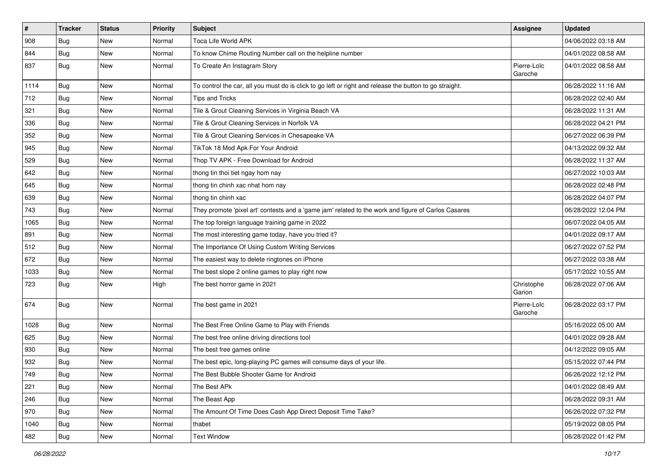| $\vert$ # | <b>Tracker</b> | <b>Status</b> | <b>Priority</b> | <b>Subject</b>                                                                                          | <b>Assignee</b>        | <b>Updated</b>      |
|-----------|----------------|---------------|-----------------|---------------------------------------------------------------------------------------------------------|------------------------|---------------------|
| 908       | <b>Bug</b>     | New           | Normal          | Toca Life World APK                                                                                     |                        | 04/06/2022 03:18 AM |
| 844       | Bug            | New           | Normal          | To know Chime Routing Number call on the helpline number                                                |                        | 04/01/2022 08:58 AM |
| 837       | Bug            | New           | Normal          | To Create An Instagram Story                                                                            | Pierre-Loïc<br>Garoche | 04/01/2022 08:58 AM |
| 1114      | Bug            | New           | Normal          | To control the car, all you must do is click to go left or right and release the button to go straight. |                        | 06/28/2022 11:16 AM |
| 712       | <b>Bug</b>     | New           | Normal          | Tips and Tricks                                                                                         |                        | 06/28/2022 02:40 AM |
| 321       | <b>Bug</b>     | New           | Normal          | Tile & Grout Cleaning Services in Virginia Beach VA                                                     |                        | 06/28/2022 11:31 AM |
| 336       | Bug            | <b>New</b>    | Normal          | Tile & Grout Cleaning Services in Norfolk VA                                                            |                        | 06/28/2022 04:21 PM |
| 352       | <b>Bug</b>     | New           | Normal          | Tile & Grout Cleaning Services in Chesapeake VA                                                         |                        | 06/27/2022 06:39 PM |
| 945       | <b>Bug</b>     | New           | Normal          | TikTok 18 Mod Apk For Your Android                                                                      |                        | 04/13/2022 09:32 AM |
| 529       | Bug            | New           | Normal          | Thop TV APK - Free Download for Android                                                                 |                        | 06/28/2022 11:37 AM |
| 642       | <b>Bug</b>     | New           | Normal          | thong tin thoi tiet ngay hom nay                                                                        |                        | 06/27/2022 10:03 AM |
| 645       | Bug            | New           | Normal          | thong tin chinh xac nhat hom nay                                                                        |                        | 06/28/2022 02:48 PM |
| 639       | <b>Bug</b>     | New           | Normal          | thong tin chinh xac                                                                                     |                        | 06/28/2022 04:07 PM |
| 743       | <b>Bug</b>     | New           | Normal          | They promote 'pixel art' contests and a 'game jam' related to the work and figure of Carlos Casares     |                        | 06/28/2022 12:04 PM |
| 1065      | <b>Bug</b>     | New           | Normal          | The top foreign language training game in 2022                                                          |                        | 06/07/2022 04:05 AM |
| 891       | <b>Bug</b>     | <b>New</b>    | Normal          | The most interesting game today, have you tried it?                                                     |                        | 04/01/2022 09:17 AM |
| 512       | Bug            | New           | Normal          | The Importance Of Using Custom Writing Services                                                         |                        | 06/27/2022 07:52 PM |
| 672       | <b>Bug</b>     | New           | Normal          | The easiest way to delete ringtones on iPhone                                                           |                        | 06/27/2022 03:38 AM |
| 1033      | <b>Bug</b>     | New           | Normal          | The best slope 2 online games to play right now                                                         |                        | 05/17/2022 10:55 AM |
| 723       | Bug            | New           | High            | The best horror game in 2021                                                                            | Christophe<br>Garion   | 06/28/2022 07:06 AM |
| 674       | Bug            | New           | Normal          | The best game in 2021                                                                                   | Pierre-Loïc<br>Garoche | 06/28/2022 03:17 PM |
| 1028      | Bug            | New           | Normal          | The Best Free Online Game to Play with Friends                                                          |                        | 05/16/2022 05:00 AM |
| 625       | Bug            | New           | Normal          | The best free online driving directions tool                                                            |                        | 04/01/2022 09:28 AM |
| 930       | <b>Bug</b>     | New           | Normal          | The best free games online                                                                              |                        | 04/12/2022 09:05 AM |
| 932       | <b>Bug</b>     | New           | Normal          | The best epic, long-playing PC games will consume days of your life.                                    |                        | 05/15/2022 07:44 PM |
| 749       | Bug            | New           | Normal          | The Best Bubble Shooter Game for Android                                                                |                        | 06/26/2022 12:12 PM |
| 221       | <b>Bug</b>     | New           | Normal          | The Best APk                                                                                            |                        | 04/01/2022 08:49 AM |
| 246       | <b>Bug</b>     | New           | Normal          | The Beast App                                                                                           |                        | 06/28/2022 09:31 AM |
| 970       | Bug            | New           | Normal          | The Amount Of Time Does Cash App Direct Deposit Time Take?                                              |                        | 06/26/2022 07:32 PM |
| 1040      | Bug            | New           | Normal          | thabet                                                                                                  |                        | 05/19/2022 08:05 PM |
| 482       | Bug            | New           | Normal          | <b>Text Window</b>                                                                                      |                        | 06/28/2022 01:42 PM |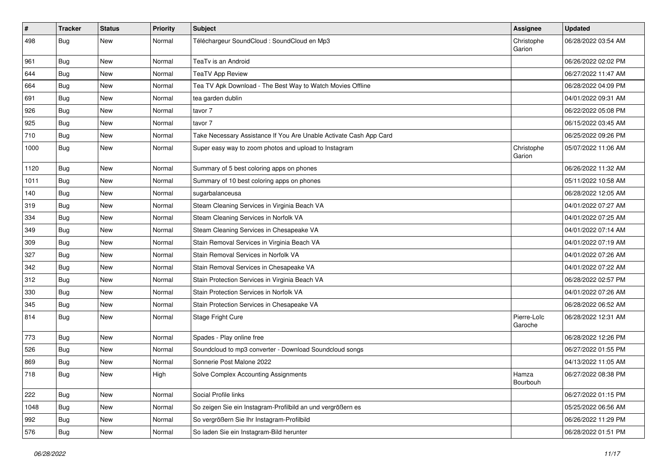| #    | <b>Tracker</b> | <b>Status</b> | <b>Priority</b> | <b>Subject</b>                                                     | <b>Assignee</b>        | <b>Updated</b>      |
|------|----------------|---------------|-----------------|--------------------------------------------------------------------|------------------------|---------------------|
| 498  | <b>Bug</b>     | New           | Normal          | Téléchargeur SoundCloud : SoundCloud en Mp3                        | Christophe<br>Garion   | 06/28/2022 03:54 AM |
| 961  | Bug            | New           | Normal          | TeaTv is an Android                                                |                        | 06/26/2022 02:02 PM |
| 644  | Bug            | New           | Normal          | <b>TeaTV App Review</b>                                            |                        | 06/27/2022 11:47 AM |
| 664  | Bug            | <b>New</b>    | Normal          | Tea TV Apk Download - The Best Way to Watch Movies Offline         |                        | 06/28/2022 04:09 PM |
| 691  | <b>Bug</b>     | New           | Normal          | tea garden dublin                                                  |                        | 04/01/2022 09:31 AM |
| 926  | Bug            | New           | Normal          | tavor 7                                                            |                        | 06/22/2022 05:08 PM |
| 925  | Bug            | New           | Normal          | tavor 7                                                            |                        | 06/15/2022 03:45 AM |
| 710  | <b>Bug</b>     | New           | Normal          | Take Necessary Assistance If You Are Unable Activate Cash App Card |                        | 06/25/2022 09:26 PM |
| 1000 | <b>Bug</b>     | New           | Normal          | Super easy way to zoom photos and upload to Instagram              | Christophe<br>Garion   | 05/07/2022 11:06 AM |
| 1120 | Bug            | New           | Normal          | Summary of 5 best coloring apps on phones                          |                        | 06/26/2022 11:32 AM |
| 1011 | Bug            | <b>New</b>    | Normal          | Summary of 10 best coloring apps on phones                         |                        | 05/11/2022 10:58 AM |
| 140  | Bug            | New           | Normal          | sugarbalanceusa                                                    |                        | 06/28/2022 12:05 AM |
| 319  | Bug            | <b>New</b>    | Normal          | Steam Cleaning Services in Virginia Beach VA                       |                        | 04/01/2022 07:27 AM |
| 334  | Bug            | New           | Normal          | Steam Cleaning Services in Norfolk VA                              |                        | 04/01/2022 07:25 AM |
| 349  | Bug            | New           | Normal          | Steam Cleaning Services in Chesapeake VA                           |                        | 04/01/2022 07:14 AM |
| 309  | Bug            | <b>New</b>    | Normal          | Stain Removal Services in Virginia Beach VA                        |                        | 04/01/2022 07:19 AM |
| 327  | Bug            | New           | Normal          | Stain Removal Services in Norfolk VA                               |                        | 04/01/2022 07:26 AM |
| 342  | Bug            | <b>New</b>    | Normal          | Stain Removal Services in Chesapeake VA                            |                        | 04/01/2022 07:22 AM |
| 312  | Bug            | New           | Normal          | Stain Protection Services in Virginia Beach VA                     |                        | 06/28/2022 02:57 PM |
| 330  | Bug            | <b>New</b>    | Normal          | Stain Protection Services in Norfolk VA                            |                        | 04/01/2022 07:26 AM |
| 345  | Bug            | <b>New</b>    | Normal          | Stain Protection Services in Chesapeake VA                         |                        | 06/28/2022 06:52 AM |
| 814  | <b>Bug</b>     | New           | Normal          | Stage Fright Cure                                                  | Pierre-Loïc<br>Garoche | 06/28/2022 12:31 AM |
| 773  | Bug            | New           | Normal          | Spades - Play online free                                          |                        | 06/28/2022 12:26 PM |
| 526  | Bug            | New           | Normal          | Soundcloud to mp3 converter - Download Soundcloud songs            |                        | 06/27/2022 01:55 PM |
| 869  | <b>Bug</b>     | New           | Normal          | Sonnerie Post Malone 2022                                          |                        | 04/13/2022 11:05 AM |
| 718  | Bug            | New           | High            | Solve Complex Accounting Assignments                               | Hamza<br>Bourbouh      | 06/27/2022 08:38 PM |
| 222  | Bug            | New           | Normal          | Social Profile links                                               |                        | 06/27/2022 01:15 PM |
| 1048 | Bug            | New           | Normal          | So zeigen Sie ein Instagram-Profilbild an und vergrößern es        |                        | 05/25/2022 06:56 AM |
| 992  | Bug            | New           | Normal          | So vergrößern Sie Ihr Instagram-Profilbild                         |                        | 06/26/2022 11:29 PM |
| 576  | <b>Bug</b>     | New           | Normal          | So laden Sie ein Instagram-Bild herunter                           |                        | 06/28/2022 01:51 PM |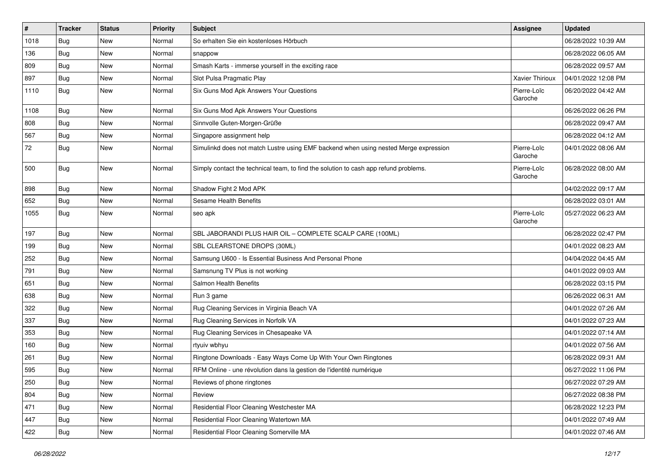| $\vert$ # | <b>Tracker</b> | <b>Status</b> | <b>Priority</b> | <b>Subject</b>                                                                       | <b>Assignee</b>        | <b>Updated</b>      |
|-----------|----------------|---------------|-----------------|--------------------------------------------------------------------------------------|------------------------|---------------------|
| 1018      | <b>Bug</b>     | New           | Normal          | So erhalten Sie ein kostenloses Hörbuch                                              |                        | 06/28/2022 10:39 AM |
| 136       | Bug            | <b>New</b>    | Normal          | snappow                                                                              |                        | 06/28/2022 06:05 AM |
| 809       | Bug            | New           | Normal          | Smash Karts - immerse yourself in the exciting race                                  |                        | 06/28/2022 09:57 AM |
| 897       | Bug            | New           | Normal          | Slot Pulsa Pragmatic Play                                                            | <b>Xavier Thirioux</b> | 04/01/2022 12:08 PM |
| 1110      | <b>Bug</b>     | <b>New</b>    | Normal          | Six Guns Mod Apk Answers Your Questions                                              | Pierre-Loïc<br>Garoche | 06/20/2022 04:42 AM |
| 1108      | Bug            | New           | Normal          | Six Guns Mod Apk Answers Your Questions                                              |                        | 06/26/2022 06:26 PM |
| 808       | Bug            | New           | Normal          | Sinnvolle Guten-Morgen-Grüße                                                         |                        | 06/28/2022 09:47 AM |
| 567       | <b>Bug</b>     | New           | Normal          | Singapore assignment help                                                            |                        | 06/28/2022 04:12 AM |
| 72        | <b>Bug</b>     | New           | Normal          | Simulinkd does not match Lustre using EMF backend when using nested Merge expression | Pierre-Loïc<br>Garoche | 04/01/2022 08:06 AM |
| 500       | <b>Bug</b>     | New           | Normal          | Simply contact the technical team, to find the solution to cash app refund problems. | Pierre-Loïc<br>Garoche | 06/28/2022 08:00 AM |
| 898       | Bug            | New           | Normal          | Shadow Fight 2 Mod APK                                                               |                        | 04/02/2022 09:17 AM |
| 652       | Bug            | New           | Normal          | Sesame Health Benefits                                                               |                        | 06/28/2022 03:01 AM |
| 1055      | <b>Bug</b>     | New           | Normal          | seo apk                                                                              | Pierre-Loïc<br>Garoche | 05/27/2022 06:23 AM |
| 197       | Bug            | New           | Normal          | SBL JABORANDI PLUS HAIR OIL - COMPLETE SCALP CARE (100ML)                            |                        | 06/28/2022 02:47 PM |
| 199       | Bug            | New           | Normal          | SBL CLEARSTONE DROPS (30ML)                                                          |                        | 04/01/2022 08:23 AM |
| 252       | Bug            | New           | Normal          | Samsung U600 - Is Essential Business And Personal Phone                              |                        | 04/04/2022 04:45 AM |
| 791       | Bug            | <b>New</b>    | Normal          | Samsnung TV Plus is not working                                                      |                        | 04/01/2022 09:03 AM |
| 651       | <b>Bug</b>     | New           | Normal          | Salmon Health Benefits                                                               |                        | 06/28/2022 03:15 PM |
| 638       | Bug            | New           | Normal          | Run 3 game                                                                           |                        | 06/26/2022 06:31 AM |
| 322       | <b>Bug</b>     | New           | Normal          | Rug Cleaning Services in Virginia Beach VA                                           |                        | 04/01/2022 07:26 AM |
| 337       | <b>Bug</b>     | New           | Normal          | Rug Cleaning Services in Norfolk VA                                                  |                        | 04/01/2022 07:23 AM |
| 353       | Bug            | <b>New</b>    | Normal          | Rug Cleaning Services in Chesapeake VA                                               |                        | 04/01/2022 07:14 AM |
| 160       | <b>Bug</b>     | New           | Normal          | rtyuiv wbhyu                                                                         |                        | 04/01/2022 07:56 AM |
| 261       | <b>Bug</b>     | New           | Normal          | Ringtone Downloads - Easy Ways Come Up With Your Own Ringtones                       |                        | 06/28/2022 09:31 AM |
| 595       | <b>Bug</b>     | New           | Normal          | RFM Online - une révolution dans la gestion de l'identité numérique                  |                        | 06/27/2022 11:06 PM |
| 250       | <b>Bug</b>     | New           | Normal          | Reviews of phone ringtones                                                           |                        | 06/27/2022 07:29 AM |
| 804       | Bug            | New           | Normal          | Review                                                                               |                        | 06/27/2022 08:38 PM |
| 471       | Bug            | New           | Normal          | Residential Floor Cleaning Westchester MA                                            |                        | 06/28/2022 12:23 PM |
| 447       | <b>Bug</b>     | New           | Normal          | Residential Floor Cleaning Watertown MA                                              |                        | 04/01/2022 07:49 AM |
| 422       | <b>Bug</b>     | New           | Normal          | Residential Floor Cleaning Somerville MA                                             |                        | 04/01/2022 07:46 AM |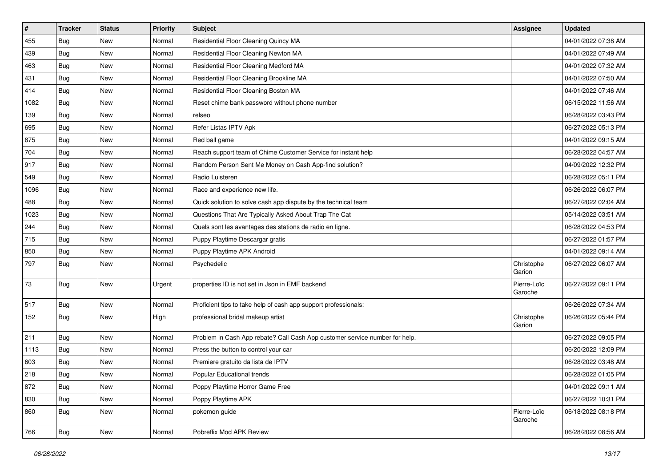| $\pmb{\#}$ | <b>Tracker</b> | <b>Status</b> | <b>Priority</b> | <b>Subject</b>                                                              | <b>Assignee</b>        | <b>Updated</b>      |
|------------|----------------|---------------|-----------------|-----------------------------------------------------------------------------|------------------------|---------------------|
| 455        | Bug            | New           | Normal          | Residential Floor Cleaning Quincy MA                                        |                        | 04/01/2022 07:38 AM |
| 439        | Bug            | <b>New</b>    | Normal          | Residential Floor Cleaning Newton MA                                        |                        | 04/01/2022 07:49 AM |
| 463        | Bug            | New           | Normal          | Residential Floor Cleaning Medford MA                                       |                        | 04/01/2022 07:32 AM |
| 431        | Bug            | New           | Normal          | Residential Floor Cleaning Brookline MA                                     |                        | 04/01/2022 07:50 AM |
| 414        | Bug            | <b>New</b>    | Normal          | Residential Floor Cleaning Boston MA                                        |                        | 04/01/2022 07:46 AM |
| 1082       | Bug            | New           | Normal          | Reset chime bank password without phone number                              |                        | 06/15/2022 11:56 AM |
| 139        | Bug            | <b>New</b>    | Normal          | relseo                                                                      |                        | 06/28/2022 03:43 PM |
| 695        | Bug            | New           | Normal          | Refer Listas IPTV Apk                                                       |                        | 06/27/2022 05:13 PM |
| 875        | Bug            | New           | Normal          | Red ball game                                                               |                        | 04/01/2022 09:15 AM |
| 704        | Bug            | <b>New</b>    | Normal          | Reach support team of Chime Customer Service for instant help               |                        | 06/28/2022 04:57 AM |
| 917        | Bug            | New           | Normal          | Random Person Sent Me Money on Cash App-find solution?                      |                        | 04/09/2022 12:32 PM |
| 549        | Bug            | <b>New</b>    | Normal          | Radio Luisteren                                                             |                        | 06/28/2022 05:11 PM |
| 1096       | Bug            | New           | Normal          | Race and experience new life.                                               |                        | 06/26/2022 06:07 PM |
| 488        | Bug            | <b>New</b>    | Normal          | Quick solution to solve cash app dispute by the technical team              |                        | 06/27/2022 02:04 AM |
| 1023       | Bug            | <b>New</b>    | Normal          | Questions That Are Typically Asked About Trap The Cat                       |                        | 05/14/2022 03:51 AM |
| 244        | Bug            | New           | Normal          | Quels sont les avantages des stations de radio en ligne.                    |                        | 06/28/2022 04:53 PM |
| 715        | Bug            | New           | Normal          | Puppy Playtime Descargar gratis                                             |                        | 06/27/2022 01:57 PM |
| 850        | Bug            | <b>New</b>    | Normal          | Puppy Playtime APK Android                                                  |                        | 04/01/2022 09:14 AM |
| 797        | Bug            | New           | Normal          | Psychedelic                                                                 | Christophe<br>Garion   | 06/27/2022 06:07 AM |
| 73         | <b>Bug</b>     | New           | Urgent          | properties ID is not set in Json in EMF backend                             | Pierre-Loïc<br>Garoche | 06/27/2022 09:11 PM |
| 517        | Bug            | New           | Normal          | Proficient tips to take help of cash app support professionals:             |                        | 06/26/2022 07:34 AM |
| 152        | Bug            | New           | High            | professional bridal makeup artist                                           | Christophe<br>Garion   | 06/26/2022 05:44 PM |
| 211        | Bug            | <b>New</b>    | Normal          | Problem in Cash App rebate? Call Cash App customer service number for help. |                        | 06/27/2022 09:05 PM |
| 1113       | Bug            | New           | Normal          | Press the button to control your car                                        |                        | 06/20/2022 12:09 PM |
| 603        | Bug            | New           | Normal          | Premiere gratuito da lista de IPTV                                          |                        | 06/28/2022 03:48 AM |
| 218        | Bug            | New           | Normal          | Popular Educational trends                                                  |                        | 06/28/2022 01:05 PM |
| 872        | <b>Bug</b>     | New           | Normal          | Poppy Playtime Horror Game Free                                             |                        | 04/01/2022 09:11 AM |
| 830        | <b>Bug</b>     | New           | Normal          | Poppy Playtime APK                                                          |                        | 06/27/2022 10:31 PM |
| 860        | Bug            | New           | Normal          | pokemon guide                                                               | Pierre-Loïc<br>Garoche | 06/18/2022 08:18 PM |
| 766        | <b>Bug</b>     | New           | Normal          | Pobreflix Mod APK Review                                                    |                        | 06/28/2022 08:56 AM |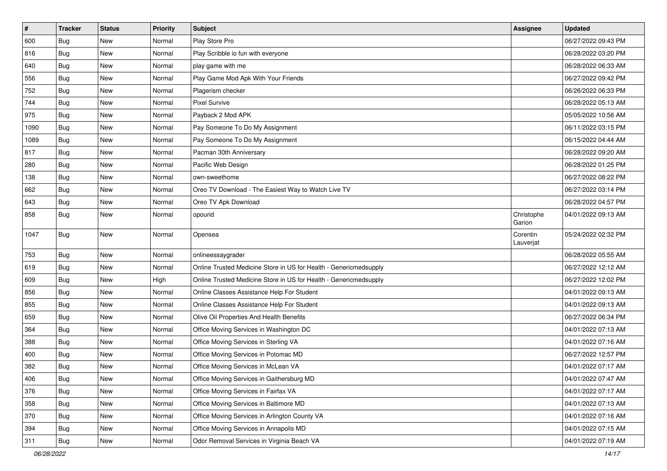| #    | <b>Tracker</b> | <b>Status</b> | <b>Priority</b> | <b>Subject</b>                                                    | <b>Assignee</b>       | <b>Updated</b>      |
|------|----------------|---------------|-----------------|-------------------------------------------------------------------|-----------------------|---------------------|
| 600  | <b>Bug</b>     | <b>New</b>    | Normal          | Play Store Pro                                                    |                       | 06/27/2022 09:43 PM |
| 816  | Bug            | <b>New</b>    | Normal          | Play Scribble io fun with everyone                                |                       | 06/28/2022 03:20 PM |
| 640  | Bug            | <b>New</b>    | Normal          | play game with me                                                 |                       | 06/28/2022 06:33 AM |
| 556  | Bug            | <b>New</b>    | Normal          | Play Game Mod Apk With Your Friends                               |                       | 06/27/2022 09:42 PM |
| 752  | Bug            | <b>New</b>    | Normal          | Plagerism checker                                                 |                       | 06/26/2022 06:33 PM |
| 744  | Bug            | New           | Normal          | <b>Pixel Survive</b>                                              |                       | 06/28/2022 05:13 AM |
| 975  | Bug            | <b>New</b>    | Normal          | Payback 2 Mod APK                                                 |                       | 05/05/2022 10:56 AM |
| 1090 | Bug            | <b>New</b>    | Normal          | Pay Someone To Do My Assignment                                   |                       | 06/11/2022 03:15 PM |
| 1089 | Bug            | <b>New</b>    | Normal          | Pay Someone To Do My Assignment                                   |                       | 06/15/2022 04:44 AM |
| 817  | Bug            | <b>New</b>    | Normal          | Pacman 30th Anniversary                                           |                       | 06/28/2022 09:20 AM |
| 280  | Bug            | New           | Normal          | Pacific Web Design                                                |                       | 06/28/2022 01:25 PM |
| 138  | Bug            | <b>New</b>    | Normal          | own-sweethome                                                     |                       | 06/27/2022 08:22 PM |
| 662  | Bug            | <b>New</b>    | Normal          | Oreo TV Download - The Easiest Way to Watch Live TV               |                       | 06/27/2022 03:14 PM |
| 643  | Bug            | <b>New</b>    | Normal          | Oreo TV Apk Download                                              |                       | 06/28/2022 04:57 PM |
| 858  | Bug            | <b>New</b>    | Normal          | opourid                                                           | Christophe<br>Garion  | 04/01/2022 09:13 AM |
| 1047 | Bug            | <b>New</b>    | Normal          | Opensea                                                           | Corentin<br>Lauverjat | 05/24/2022 02:32 PM |
| 753  | Bug            | New           | Normal          | onlineessaygrader                                                 |                       | 06/28/2022 05:55 AM |
| 619  | Bug            | <b>New</b>    | Normal          | Online Trusted Medicine Store in US for Health - Genericmedsupply |                       | 06/27/2022 12:12 AM |
| 609  | Bug            | <b>New</b>    | High            | Online Trusted Medicine Store in US for Health - Genericmedsupply |                       | 06/27/2022 12:02 PM |
| 856  | Bug            | <b>New</b>    | Normal          | Online Classes Assistance Help For Student                        |                       | 04/01/2022 09:13 AM |
| 855  | Bug            | <b>New</b>    | Normal          | Online Classes Assistance Help For Student                        |                       | 04/01/2022 09:13 AM |
| 659  | Bug            | <b>New</b>    | Normal          | Olive Oil Properties And Health Benefits                          |                       | 06/27/2022 06:34 PM |
| 364  | Bug            | New           | Normal          | Office Moving Services in Washington DC                           |                       | 04/01/2022 07:13 AM |
| 388  | <b>Bug</b>     | <b>New</b>    | Normal          | Office Moving Services in Sterling VA                             |                       | 04/01/2022 07:16 AM |
| 400  | Bug            | <b>New</b>    | Normal          | Office Moving Services in Potomac MD                              |                       | 06/27/2022 12:57 PM |
| 382  | Bug            | <b>New</b>    | Normal          | Office Moving Services in McLean VA                               |                       | 04/01/2022 07:17 AM |
| 406  | Bug            | New           | Normal          | Office Moving Services in Gaithersburg MD                         |                       | 04/01/2022 07:47 AM |
| 376  | Bug            | New           | Normal          | Office Moving Services in Fairfax VA                              |                       | 04/01/2022 07:17 AM |
| 358  | Bug            | New           | Normal          | Office Moving Services in Baltimore MD                            |                       | 04/01/2022 07:13 AM |
| 370  | <b>Bug</b>     | New           | Normal          | Office Moving Services in Arlington County VA                     |                       | 04/01/2022 07:16 AM |
| 394  | <b>Bug</b>     | New           | Normal          | Office Moving Services in Annapolis MD                            |                       | 04/01/2022 07:15 AM |
| 311  | <b>Bug</b>     | New           | Normal          | Odor Removal Services in Virginia Beach VA                        |                       | 04/01/2022 07:19 AM |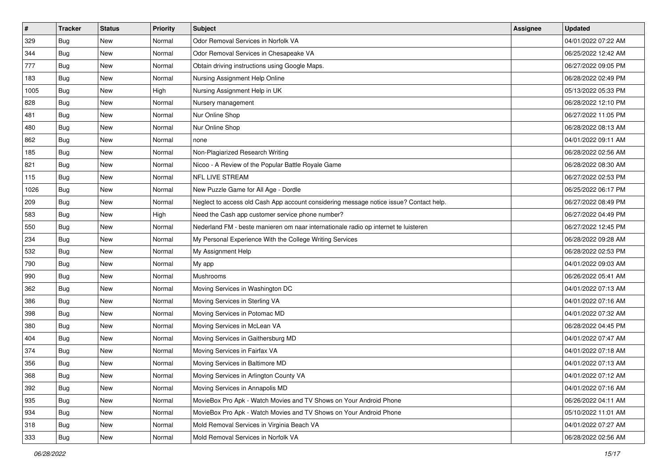| #    | <b>Tracker</b> | <b>Status</b> | <b>Priority</b> | Subject                                                                                | <b>Assignee</b> | <b>Updated</b>      |
|------|----------------|---------------|-----------------|----------------------------------------------------------------------------------------|-----------------|---------------------|
| 329  | Bug            | New           | Normal          | Odor Removal Services in Norfolk VA                                                    |                 | 04/01/2022 07:22 AM |
| 344  | <b>Bug</b>     | <b>New</b>    | Normal          | Odor Removal Services in Chesapeake VA                                                 |                 | 06/25/2022 12:42 AM |
| 777  | <b>Bug</b>     | New           | Normal          | Obtain driving instructions using Google Maps.                                         |                 | 06/27/2022 09:05 PM |
| 183  | Bug            | <b>New</b>    | Normal          | Nursing Assignment Help Online                                                         |                 | 06/28/2022 02:49 PM |
| 1005 | Bug            | <b>New</b>    | High            | Nursing Assignment Help in UK                                                          |                 | 05/13/2022 05:33 PM |
| 828  | Bug            | <b>New</b>    | Normal          | Nursery management                                                                     |                 | 06/28/2022 12:10 PM |
| 481  | <b>Bug</b>     | <b>New</b>    | Normal          | Nur Online Shop                                                                        |                 | 06/27/2022 11:05 PM |
| 480  | Bug            | <b>New</b>    | Normal          | Nur Online Shop                                                                        |                 | 06/28/2022 08:13 AM |
| 862  | Bug            | <b>New</b>    | Normal          | none                                                                                   |                 | 04/01/2022 09:11 AM |
| 185  | Bug            | <b>New</b>    | Normal          | Non-Plagiarized Research Writing                                                       |                 | 06/28/2022 02:56 AM |
| 821  | Bug            | New           | Normal          | Nicoo - A Review of the Popular Battle Royale Game                                     |                 | 06/28/2022 08:30 AM |
| 115  | Bug            | <b>New</b>    | Normal          | NFL LIVE STREAM                                                                        |                 | 06/27/2022 02:53 PM |
| 1026 | Bug            | <b>New</b>    | Normal          | New Puzzle Game for All Age - Dordle                                                   |                 | 06/25/2022 06:17 PM |
| 209  | Bug            | <b>New</b>    | Normal          | Neglect to access old Cash App account considering message notice issue? Contact help. |                 | 06/27/2022 08:49 PM |
| 583  | Bug            | <b>New</b>    | High            | Need the Cash app customer service phone number?                                       |                 | 06/27/2022 04:49 PM |
| 550  | <b>Bug</b>     | New           | Normal          | Nederland FM - beste manieren om naar internationale radio op internet te luisteren    |                 | 06/27/2022 12:45 PM |
| 234  | Bug            | <b>New</b>    | Normal          | My Personal Experience With the College Writing Services                               |                 | 06/28/2022 09:28 AM |
| 532  | <b>Bug</b>     | New           | Normal          | My Assignment Help                                                                     |                 | 06/28/2022 02:53 PM |
| 790  | Bug            | <b>New</b>    | Normal          | My app                                                                                 |                 | 04/01/2022 09:03 AM |
| 990  | Bug            | <b>New</b>    | Normal          | Mushrooms                                                                              |                 | 06/26/2022 05:41 AM |
| 362  | Bug            | New           | Normal          | Moving Services in Washington DC                                                       |                 | 04/01/2022 07:13 AM |
| 386  | Bug            | <b>New</b>    | Normal          | Moving Services in Sterling VA                                                         |                 | 04/01/2022 07:16 AM |
| 398  | Bug            | <b>New</b>    | Normal          | Moving Services in Potomac MD                                                          |                 | 04/01/2022 07:32 AM |
| 380  | Bug            | <b>New</b>    | Normal          | Moving Services in McLean VA                                                           |                 | 06/28/2022 04:45 PM |
| 404  | <b>Bug</b>     | <b>New</b>    | Normal          | Moving Services in Gaithersburg MD                                                     |                 | 04/01/2022 07:47 AM |
| 374  | Bug            | <b>New</b>    | Normal          | Moving Services in Fairfax VA                                                          |                 | 04/01/2022 07:18 AM |
| 356  | <b>Bug</b>     | <b>New</b>    | Normal          | Moving Services in Baltimore MD                                                        |                 | 04/01/2022 07:13 AM |
| 368  | <b>Bug</b>     | New           | Normal          | Moving Services in Arlington County VA                                                 |                 | 04/01/2022 07:12 AM |
| 392  | Bug            | New           | Normal          | Moving Services in Annapolis MD                                                        |                 | 04/01/2022 07:16 AM |
| 935  | Bug            | New           | Normal          | MovieBox Pro Apk - Watch Movies and TV Shows on Your Android Phone                     |                 | 06/26/2022 04:11 AM |
| 934  | Bug            | New           | Normal          | MovieBox Pro Apk - Watch Movies and TV Shows on Your Android Phone                     |                 | 05/10/2022 11:01 AM |
| 318  | <b>Bug</b>     | New           | Normal          | Mold Removal Services in Virginia Beach VA                                             |                 | 04/01/2022 07:27 AM |
| 333  | <b>Bug</b>     | New           | Normal          | Mold Removal Services in Norfolk VA                                                    |                 | 06/28/2022 02:56 AM |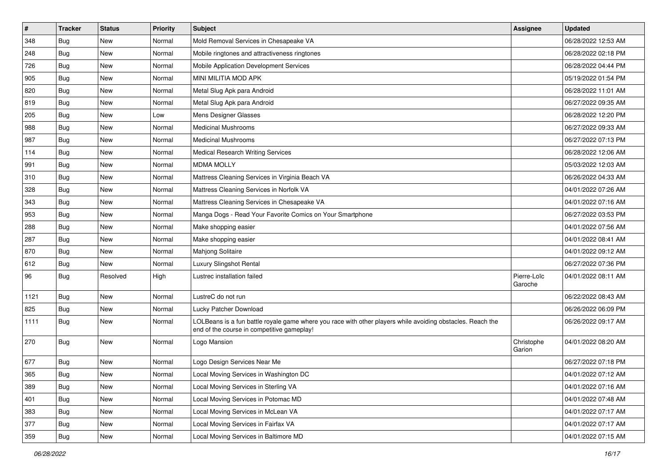| #    | <b>Tracker</b> | <b>Status</b> | <b>Priority</b> | <b>Subject</b>                                                                                                                                           | <b>Assignee</b>        | <b>Updated</b>      |
|------|----------------|---------------|-----------------|----------------------------------------------------------------------------------------------------------------------------------------------------------|------------------------|---------------------|
| 348  | Bug            | <b>New</b>    | Normal          | Mold Removal Services in Chesapeake VA                                                                                                                   |                        | 06/28/2022 12:53 AM |
| 248  | Bug            | <b>New</b>    | Normal          | Mobile ringtones and attractiveness ringtones                                                                                                            |                        | 06/28/2022 02:18 PM |
| 726  | Bug            | New           | Normal          | Mobile Application Development Services                                                                                                                  |                        | 06/28/2022 04:44 PM |
| 905  | Bug            | <b>New</b>    | Normal          | MINI MILITIA MOD APK                                                                                                                                     |                        | 05/19/2022 01:54 PM |
| 820  | Bug            | <b>New</b>    | Normal          | Metal Slug Apk para Android                                                                                                                              |                        | 06/28/2022 11:01 AM |
| 819  | Bug            | <b>New</b>    | Normal          | Metal Slug Apk para Android                                                                                                                              |                        | 06/27/2022 09:35 AM |
| 205  | Bug            | <b>New</b>    | Low             | Mens Designer Glasses                                                                                                                                    |                        | 06/28/2022 12:20 PM |
| 988  | Bug            | <b>New</b>    | Normal          | <b>Medicinal Mushrooms</b>                                                                                                                               |                        | 06/27/2022 09:33 AM |
| 987  | Bug            | <b>New</b>    | Normal          | <b>Medicinal Mushrooms</b>                                                                                                                               |                        | 06/27/2022 07:13 PM |
| 114  | Bug            | <b>New</b>    | Normal          | <b>Medical Research Writing Services</b>                                                                                                                 |                        | 06/28/2022 12:06 AM |
| 991  | Bug            | New           | Normal          | <b>MDMA MOLLY</b>                                                                                                                                        |                        | 05/03/2022 12:03 AM |
| 310  | Bug            | <b>New</b>    | Normal          | Mattress Cleaning Services in Virginia Beach VA                                                                                                          |                        | 06/26/2022 04:33 AM |
| 328  | Bug            | <b>New</b>    | Normal          | Mattress Cleaning Services in Norfolk VA                                                                                                                 |                        | 04/01/2022 07:26 AM |
| 343  | Bug            | <b>New</b>    | Normal          | Mattress Cleaning Services in Chesapeake VA                                                                                                              |                        | 04/01/2022 07:16 AM |
| 953  | Bug            | <b>New</b>    | Normal          | Manga Dogs - Read Your Favorite Comics on Your Smartphone                                                                                                |                        | 06/27/2022 03:53 PM |
| 288  | Bug            | New           | Normal          | Make shopping easier                                                                                                                                     |                        | 04/01/2022 07:56 AM |
| 287  | Bug            | <b>New</b>    | Normal          | Make shopping easier                                                                                                                                     |                        | 04/01/2022 08:41 AM |
| 870  | Bug            | <b>New</b>    | Normal          | Mahjong Solitaire                                                                                                                                        |                        | 04/01/2022 09:12 AM |
| 612  | Bug            | <b>New</b>    | Normal          | Luxury Slingshot Rental                                                                                                                                  |                        | 06/27/2022 07:36 PM |
| 96   | Bug            | Resolved      | High            | Lustrec installation failed                                                                                                                              | Pierre-Loïc<br>Garoche | 04/01/2022 08:11 AM |
| 1121 | Bug            | <b>New</b>    | Normal          | LustreC do not run                                                                                                                                       |                        | 06/22/2022 08:43 AM |
| 825  | Bug            | <b>New</b>    | Normal          | Lucky Patcher Download                                                                                                                                   |                        | 06/26/2022 06:09 PM |
| 1111 | Bug            | <b>New</b>    | Normal          | LOLBeans is a fun battle royale game where you race with other players while avoiding obstacles. Reach the<br>end of the course in competitive gameplay! |                        | 06/26/2022 09:17 AM |
| 270  | Bug            | <b>New</b>    | Normal          | Logo Mansion                                                                                                                                             | Christophe<br>Garion   | 04/01/2022 08:20 AM |
| 677  | Bug            | <b>New</b>    | Normal          | Logo Design Services Near Me                                                                                                                             |                        | 06/27/2022 07:18 PM |
| 365  | Bug            | New           | Normal          | ocal Moving Services in Washington DC                                                                                                                    |                        | 04/01/2022 07:12 AM |
| 389  | Bug            | New           | Normal          | Local Moving Services in Sterling VA                                                                                                                     |                        | 04/01/2022 07:16 AM |
| 401  | Bug            | New           | Normal          | Local Moving Services in Potomac MD                                                                                                                      |                        | 04/01/2022 07:48 AM |
| 383  | <b>Bug</b>     | New           | Normal          | Local Moving Services in McLean VA                                                                                                                       |                        | 04/01/2022 07:17 AM |
| 377  | Bug            | New           | Normal          | Local Moving Services in Fairfax VA                                                                                                                      |                        | 04/01/2022 07:17 AM |
| 359  | <b>Bug</b>     | New           | Normal          | Local Moving Services in Baltimore MD                                                                                                                    |                        | 04/01/2022 07:15 AM |